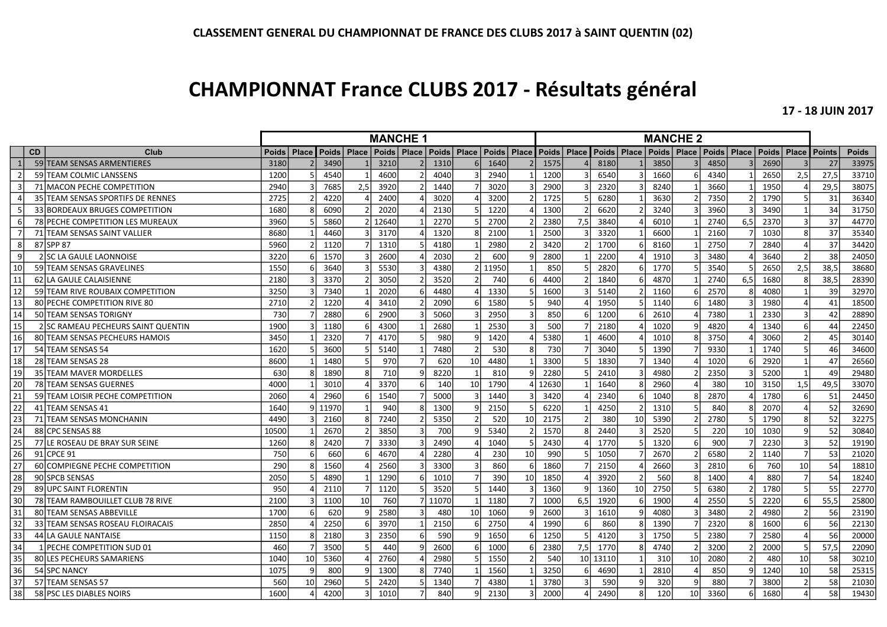## CHAMPIONNAT France CLUBS 2017 - Résultats général

17 - 18 JUIN 2017

|                |           |                                         | <b>MANCHE 1</b> |    |                       |     |       |              |       |                                               | <b>MANCHE 2</b> |    |               |     |       |                   |      |                                                               |      |                |      |                  |               |              |
|----------------|-----------|-----------------------------------------|-----------------|----|-----------------------|-----|-------|--------------|-------|-----------------------------------------------|-----------------|----|---------------|-----|-------|-------------------|------|---------------------------------------------------------------|------|----------------|------|------------------|---------------|--------------|
|                | <b>CD</b> | Club                                    | Poids           |    | Place   Poids   Place |     |       |              |       | Poids   Place   Poids   Place   Poids   Place |                 |    | Poids   Place |     |       |                   |      | Poids   Place   Poids   Place   Poids   Place   Poids   Place |      |                |      |                  | <b>Points</b> | <b>Poids</b> |
| $\mathbf{1}$   |           | 59 TEAM SENSAS ARMENTIERES              | 3180            |    | 3490                  |     | 3210  |              | 1310  |                                               | 1640            |    | 1575          |     | 8180  |                   | 3850 |                                                               | 4850 |                | 2690 |                  | 27            | 33975        |
| $\overline{2}$ |           | 59 TEAM COLMIC LANSSENS                 | 1200            |    | 4540                  |     | 4600  |              | 4040  |                                               | 2940            |    | 1200          |     | 6540  |                   | 1660 |                                                               | 4340 |                | 2650 | 2,5              | 27,5          | 33710        |
| 3              |           | 71 MACON PECHE COMPETITION              | 2940            |    | 7685                  | 2,5 | 3920  |              | 1440  |                                               | 3020            |    | 2900          |     | 2320  |                   | 8240 |                                                               | 3660 |                | 1950 |                  | 29,5          | 38075        |
| $\Delta$       |           | 35 TEAM SENSAS SPORTIFS DE RENNES       | 2725            |    | 4220                  |     | 2400  |              | 3020  |                                               | 3200            |    | 1725          |     | 6280  |                   | 3630 |                                                               | 7350 | $\mathcal{L}$  | 1790 |                  | 31            | 36340        |
|                |           | 33 BORDEAUX BRUGES COMPETITION          | 1680            |    | 6090                  |     | 2020  |              | 2130  |                                               | 1220            |    | 1300          |     | 6620  |                   | 3240 |                                                               | 3960 |                | 3490 |                  | 34            | 31750        |
| 6              |           | <b>78 PECHE COMPETITION LES MUREAUX</b> | 3960            |    | 5860                  |     | 12640 |              | 2270  |                                               | 2700            |    | 2380          | 7,5 | 3840  |                   | 6010 |                                                               | 2740 | 6.5            | 2370 |                  | 37            | 44770        |
|                |           | 71 TEAM SENSAS SAINT VALLIER            | 8680            |    | 4460                  |     | 3170  |              | 1320  |                                               | 2100            |    | 2500          |     | 3320  |                   | 6600 |                                                               | 2160 |                | 1030 |                  | 37            | 35340        |
| 8 <sup>1</sup> |           | 87 SPP 87                               | 5960            |    | 1120                  |     | 1310  |              | 4180  |                                               | 2980            |    | 3420          |     | 1700  | 6                 | 8160 |                                                               | 2750 |                | 2840 |                  | 37            | 34420        |
| 9              |           | 2 SC LA GAULE LAONNOISE                 | 3220            |    | 1570                  |     | 2600  |              | 2030  |                                               | 600             |    | 2800          |     | 2200  |                   | 1910 |                                                               | 3480 |                | 3640 |                  | 38            | 24050        |
| 10             |           | 59 TEAM SENSAS GRAVELINES               | 1550            |    | 3640                  |     | 5530  |              | 4380  |                                               | 11950           |    | 850           |     | 2820  | 6                 | 1770 |                                                               | 3540 |                | 2650 | $\overline{2,5}$ | 38,5          | 38680        |
| 11             |           | 62 LA GAULE CALAISIENNE                 | 2180            |    | 3370                  |     | 3050  |              | 3520  |                                               | 740             |    | 4400          |     | 1840  | 6                 | 4870 |                                                               | 2740 | 6,5            | 1680 |                  | 38,5          | 28390        |
| 12             |           | 59 TEAM RIVE ROUBAIX COMPETITION        | 3250            |    | 7340                  |     | 2020  |              | 4480  |                                               | 1330            |    | 1600          |     | 5140  |                   | 1160 |                                                               | 2570 | Ջ              | 4080 |                  | 39            | 32970        |
| 13             |           | 80 PECHE COMPETITION RIVE 80            | 2710            |    | 1220                  |     | 3410  |              | 2090  |                                               | 1580            |    | 940           |     | 1950  |                   | 1140 |                                                               | 1480 |                | 1980 | $\Delta$         | 41            | 18500        |
| 14             |           | <b>50 TEAM SENSAS TORIGNY</b>           | 730             |    | 2880                  |     | 2900  |              | 5060  |                                               | 2950            |    | 850           |     | 1200  | 6                 | 2610 |                                                               | 7380 |                | 2330 |                  | 42            | 28890        |
| 15             |           | 2 SC RAMEAU PECHEURS SAINT QUENTIN      | 1900            |    | 1180                  |     | 4300  |              | 2680  |                                               | 2530            |    | 500           |     | 2180  |                   | 1020 |                                                               | 4820 |                | 1340 | 6                | 44            | 22450        |
| 16             |           | 80 TEAM SENSAS PECHEURS HAMOIS          | 3450            |    | 2320                  |     | 4170  |              | 980   |                                               | 1420            |    | 5380          |     | 4600  |                   | 1010 |                                                               | 3750 |                | 3060 |                  | 45            | 30140        |
| 17             |           | 54 TEAM SENSAS 54                       | 1620            |    | 3600                  |     | 5140  |              | 7480  |                                               | 530             |    | 730           |     | 3040  |                   | 1390 |                                                               | 9330 |                | 1740 |                  | 46            | 34600        |
| 18             |           | 28 TEAM SENSAS 28                       | 8600            |    | 1480                  |     | 970   |              | 620   | 10 <sup>1</sup>                               | 4480            |    | 3300          |     | 1830  |                   | 1340 |                                                               | 1020 |                | 2920 |                  | 47            | 26560        |
| 19             |           | 35 TEAM MAVER MORDELLES                 | 630             | R  | 1890                  |     | 710   | q            | 8220  |                                               | 810             |    | 2280          |     | 2410  |                   | 4980 |                                                               | 2350 |                | 5200 |                  | 49            | 29480        |
| 20             |           | 78 TEAM SENSAS GUERNES                  | 4000            |    | 3010                  |     | 3370  | 6            | 140   | 10                                            | 1790            |    | 12630         |     | 1640  | $\mathsf{\Omega}$ | 2960 |                                                               | 380  | 10             | 3150 | 1,5              | 49,5          | 33070        |
| 21             |           | 59 TEAM LOISIR PECHE COMPETITION        | 2060            |    | 2960                  |     | 1540  |              | 5000  |                                               | 1440            |    | 3420          |     | 2340  | 6                 | 1040 |                                                               | 2870 |                | 1780 |                  | 51            | 24450        |
| 22             |           | 41 TEAM SENSAS 41                       | 1640            | a  | 11970                 |     | 940   |              | 1300  |                                               | 2150            |    | 6220          |     | 4250  |                   | 1310 |                                                               | 840  |                | 2070 |                  | 52            | 32690        |
| 23             |           | 71 TEAM SENSAS MONCHANIN                | 4490            |    | 2160                  |     | 7240  |              | 5350  |                                               | 520             | 10 | 2175          |     | 380   | 10                | 5390 |                                                               | 2780 |                | 1790 |                  | 52            | 32275        |
| 24             |           | 88 CPC SENSAS 88                        | 10500           |    | 2670                  |     | 3850  |              | 700   |                                               | 5340            |    | 1570          |     | 2440  |                   | 2520 |                                                               | 220  | 10             | 1030 | c                | 52            | 30840        |
| 25             |           | 77 LE ROSEAU DE BRAY SUR SEINE          | 1260            | 8  | 2420                  |     | 3330  |              | 2490  |                                               | 1040            |    | 2430          |     | 1770  |                   | 1320 |                                                               | 900  |                | 2230 |                  | 52            | 19190        |
| 26             |           | 91 CPCE 91                              | 750             | 6  | 660                   |     | 4670  |              | 2280  |                                               | 230             | 10 | 990           |     | 1050  |                   | 2670 |                                                               | 6580 |                | 1140 | $\overline{7}$   | 53            | 21020        |
| 27             |           | 60 COMPIEGNE PECHE COMPETITION          | 290             |    | 1560                  |     | 2560  |              | 3300  |                                               | 860             |    | 1860          |     | 2150  |                   | 2660 |                                                               | 2810 | 6              | 760  | 10               | 54            | 18810        |
| 28             |           | 90 SPCB SENSAS                          | 2050            |    | 4890                  |     | 1290  | 6            | 1010  |                                               | 390             | 10 | 1850          |     | 3920  |                   | 560  |                                                               | 1400 |                | 880  |                  | 54            | 18240        |
| 29             |           | 89 UPC SAINT FLORENTIN                  | 950             |    | 2110                  |     | 1120  |              | 3520  |                                               | 1440            |    | 1360          |     | 1360  | 10 <sup>1</sup>   | 2750 |                                                               | 6380 |                | 1780 |                  | 55            | 22770        |
| 30             |           | 78 TEAM RAMBOUILLET CLUB 78 RIVE        | 2100            |    | 1100                  | 10  | 760   | 7            | 11070 |                                               | 1180            |    | 1000          | 6,5 | 1920  |                   | 1900 |                                                               | 2550 |                | 2220 | -6               | 55,5          | 25800        |
| 31             |           | 80 TEAM SENSAS ABBEVILLE                | 1700            | 6  | 620                   |     | 2580  |              | 480   | 10 <sup>1</sup>                               | 1060            |    | 2600          |     | 1610  |                   | 4080 |                                                               | 3480 |                | 4980 |                  | 56            | 23190        |
| 32             |           | 33 TEAM SENSAS ROSEAU FLOIRACAIS        | 2850            |    | 2250                  |     | 3970  |              | 2150  |                                               | 2750            |    | 1990          |     | 860   | 8                 | 1390 |                                                               | 2320 | 8              | 1600 |                  | 56            | 22130        |
| 33             |           | 44 LA GAULE NANTAISE                    | 1150            |    | 2180                  |     | 2350  | 6            | 590   |                                               | 1650            |    | 1250          |     | 4120  |                   | 1750 |                                                               | 2380 |                | 2580 |                  | 56            | 20000        |
| 34             |           | 1 <b>IPECHE COMPETITION SUD 01</b>      | 460             |    | 3500                  |     | 440   | $\mathbf{q}$ | 2600  |                                               | 1000            |    | 2380          | 7,5 | 1770  | 8                 | 4740 |                                                               | 3200 | $\mathfrak{p}$ | 2000 | F,               | 57.5          | 22090        |
| 35             |           | 80 LES PECHEURS SAMARIENS               | 1040            | 10 | 5360                  |     | 2760  |              | 2980  |                                               | 1550            |    | 540           | 10  | 13110 |                   | 310  | 10                                                            | 2080 | $\mathfrak{p}$ | 480  | 10               | 58            | 30210        |
| 36             |           | 54 SPC NANCY                            | 1075            | q  | 800                   |     | 1300  |              | 7740  |                                               | 1560            |    | 3250          |     | 4690  |                   | 2810 |                                                               | 850  | q              | 1240 | 10               | 58            | 25315        |
| 37             |           | 57 TEAM SENSAS 57                       | 560             | 10 | 2960                  |     | 2420  |              | 1340  |                                               | 4380            |    | 3780          |     | 590   |                   | 320  |                                                               | 880  |                | 3800 | $\mathcal{P}$    | 58            | 21030        |
| 38             |           | 58 PSC LES DIABLES NOIRS                | 1600            |    | 4200                  |     | 1010  | 7            | 840   |                                               | 2130            |    | 2000          |     | 2490  | 8                 | 120l | 10 <sup>1</sup>                                               | 3360 | 6              | 1680 | $\Delta$         | 58            | 19430        |